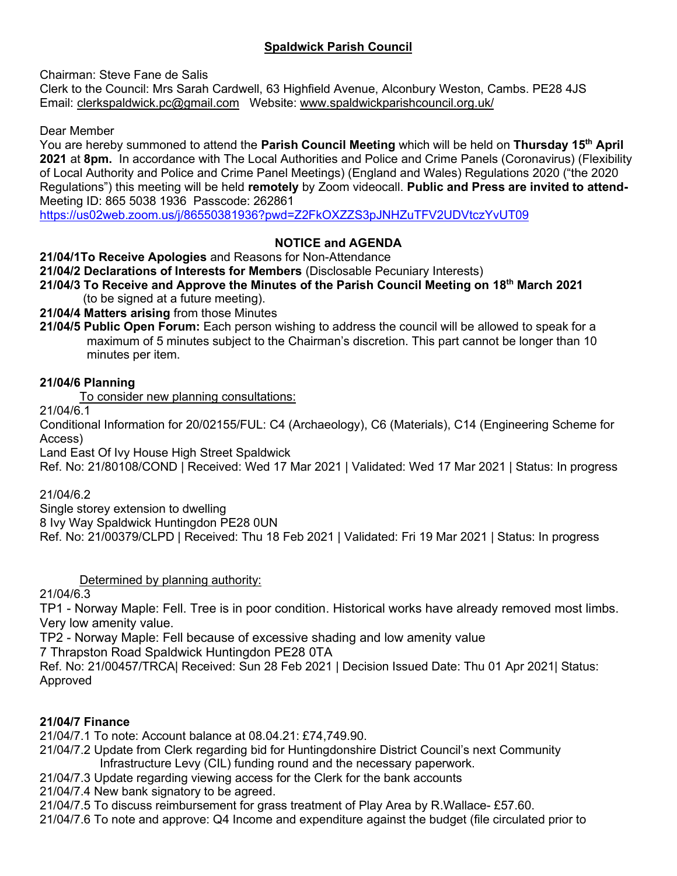# **Spaldwick Parish Council**

Chairman: Steve Fane de Salis

Clerk to the Council: Mrs Sarah Cardwell, 63 Highfield Avenue, Alconbury Weston, Cambs. PE28 4JS Email: [clerkspaldwick.pc@gmail.com](mailto:clerkspaldwick.pc@gmail.com) Website: [www.spaldwickparishcouncil.org.uk/](http://www.spaldwickparishcouncil.org.uk/)

Dear Member

You are hereby summoned to attend the **Parish Council Meeting** which will be held on **Thursday 15 th April 2021** at **8pm.** In accordance with The Local Authorities and Police and Crime Panels (Coronavirus) (Flexibility of Local Authority and Police and Crime Panel Meetings) (England and Wales) Regulations 2020 ("the 2020 Regulations") this meeting will be held **remotely** by Zoom videocall. **Public and Press are invited to attend-**Meeting ID: 865 5038 1936 Passcode: 262861

<https://us02web.zoom.us/j/86550381936?pwd=Z2FkOXZZS3pJNHZuTFV2UDVtczYvUT09>

# **NOTICE and AGENDA**

**21/04/1To Receive Apologies** and Reasons for Non-Attendance

**21/04/2 Declarations of Interests for Members** (Disclosable Pecuniary Interests)

**21/04/3 To Receive and Approve the Minutes of the Parish Council Meeting on 18th March 2021** (to be signed at a future meeting).

**21/04/4 Matters arising** from those Minutes

**21/04/5 Public Open Forum:** Each person wishing to address the council will be allowed to speak for a maximum of 5 minutes subject to the Chairman's discretion. This part cannot be longer than 10 minutes per item.

### **21/04/6 Planning**

To consider new planning consultations:

21/04/6.1

Conditional Information for 20/02155/FUL: C4 (Archaeology), C6 (Materials), C14 (Engineering Scheme for Access)

Land East Of Ivy House High Street Spaldwick

Ref. No: 21/80108/COND | Received: Wed 17 Mar 2021 | Validated: Wed 17 Mar 2021 | Status: In progress

21/04/6.2

Single storey extension to dwelling

8 Ivy Way Spaldwick Huntingdon PE28 0UN

Ref. No: 21/00379/CLPD | Received: Thu 18 Feb 2021 | Validated: Fri 19 Mar 2021 | Status: In progress

Determined by planning authority:

21/04/6.3

TP1 - Norway Maple: Fell. Tree is in poor condition. Historical works have already removed most limbs. Very low amenity value.

TP2 - Norway Maple: Fell because of excessive shading and low amenity value

7 Thrapston Road Spaldwick Huntingdon PE28 0TA

Ref. No: 21/00457/TRCA| Received: Sun 28 Feb 2021 | Decision Issued Date: Thu 01 Apr 2021| Status: Approved

## **21/04/7 Finance**

21/04/7.1 To note: Account balance at 08.04.21: £74,749.90.

- 21/04/7.2 Update from Clerk regarding bid for Huntingdonshire District Council's next Community Infrastructure Levy (CIL) funding round and the necessary paperwork.
- 21/04/7.3 Update regarding viewing access for the Clerk for the bank accounts

21/04/7.4 New bank signatory to be agreed.

21/04/7.5 To discuss reimbursement for grass treatment of Play Area by R.Wallace- £57.60.

21/04/7.6 To note and approve: Q4 Income and expenditure against the budget (file circulated prior to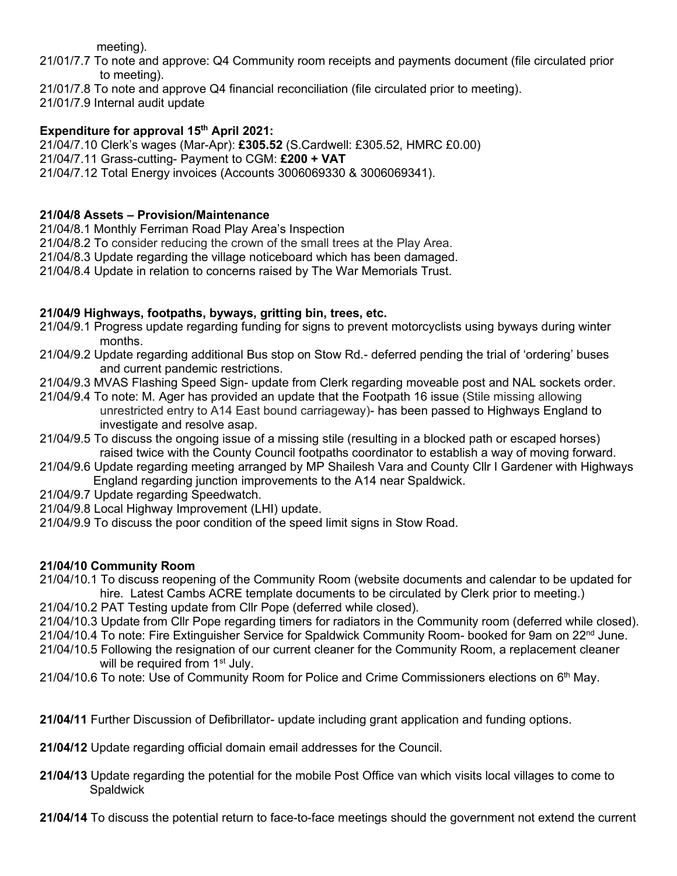meeting).

- 21/01/7.7 To note and approve: Q4 Community room receipts and payments document (file circulated prior to meeting).
- 21/01/7.8 To note and approve Q4 financial reconciliation (file circulated prior to meeting).

21/01/7.9 Internal audit update

### **Expenditure for approval 15 th April 2021:**

21/04/7.10 Clerk's wages (Mar-Apr): **£305.52** (S.Cardwell: £305.52, HMRC £0.00) 21/04/7.11 Grass-cutting- Payment to CGM: **£200 + VAT** 21/04/7.12 Total Energy invoices (Accounts 3006069330 & 3006069341).

### **21/04/8 Assets – Provision/Maintenance**

21/04/8.1 Monthly Ferriman Road Play Area's Inspection

21/04/8.2 To consider reducing the crown of the small trees at the Play Area.

21/04/8.3 Update regarding the village noticeboard which has been damaged.

21/04/8.4 Update in relation to concerns raised by The War Memorials Trust.

#### **21/04/9 Highways, footpaths, byways, gritting bin, trees, etc.**

- 21/04/9.1 Progress update regarding funding for signs to prevent motorcyclists using byways during winter months.
- 21/04/9.2 Update regarding additional Bus stop on Stow Rd.- deferred pending the trial of 'ordering' buses and current pandemic restrictions.
- 21/04/9.3 MVAS Flashing Speed Sign- update from Clerk regarding moveable post and NAL sockets order.
- 21/04/9.4 To note: M. Ager has provided an update that the Footpath 16 issue (Stile missing allowing unrestricted entry to A14 East bound carriageway)- has been passed to Highways England to investigate and resolve asap.
- 21/04/9.5 To discuss the ongoing issue of a missing stile (resulting in a blocked path or escaped horses) raised twice with the County Council footpaths coordinator to establish a way of moving forward.
- 21/04/9.6 Update regarding meeting arranged by MP Shailesh Vara and County Cllr I Gardener with Highways England regarding junction improvements to the A14 near Spaldwick.
- 21/04/9.7 Update regarding Speedwatch.
- 21/04/9.8 Local Highway Improvement (LHI) update.
- 21/04/9.9 To discuss the poor condition of the speed limit signs in Stow Road.

#### **21/04/10 Community Room**

- 21/04/10.1 To discuss reopening of the Community Room (website documents and calendar to be updated for hire. Latest Cambs ACRE template documents to be circulated by Clerk prior to meeting.)
- 21/04/10.2 PAT Testing update from Cllr Pope (deferred while closed).
- 21/04/10.3 Update from Cllr Pope regarding timers for radiators in the Community room (deferred while closed).
- 21/04/10.4 To note: Fire Extinguisher Service for Spaldwick Community Room- booked for 9am on 22<sup>nd</sup> June.
- 21/04/10.5 Following the resignation of our current cleaner for the Community Room, a replacement cleaner will be required from  $1<sup>st</sup>$  July.
- $21/04/10.6$  To note: Use of Community Room for Police and Crime Commissioners elections on  $6<sup>th</sup>$  May.
- **21/04/11** Further Discussion of Defibrillator- update including grant application and funding options.
- **21/04/12** Update regarding official domain email addresses for the Council.
- **21/04/13** Update regarding the potential for the mobile Post Office van which visits local villages to come to **Spaldwick**
- **21/04/14** To discuss the potential return to face-to-face meetings should the government not extend the current